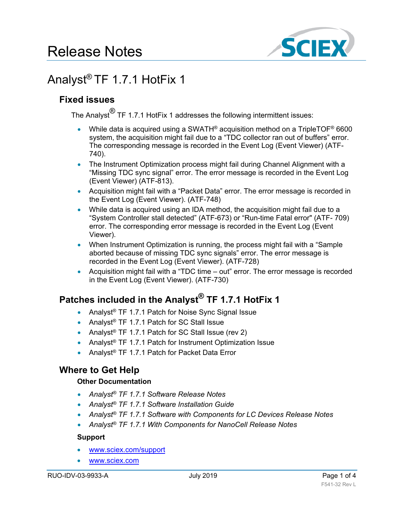

# Analyst® TF 1.7.1 HotFix 1

## **Fixed issues**

The Analyst<sup>®</sup> TF 1.7.1 HotFix 1 addresses the following intermittent issues:

- While data is acquired using a SWATH<sup>®</sup> acquisition method on a TripleTOF<sup>®</sup> 6600 system, the acquisition might fail due to a "TDC collector ran out of buffers" error. The corresponding message is recorded in the Event Log (Event Viewer) (ATF-740).
- The Instrument Optimization process might fail during Channel Alignment with a "Missing TDC sync signal" error. The error message is recorded in the Event Log (Event Viewer) (ATF-813).
- Acquisition might fail with a "Packet Data" error. The error message is recorded in the Event Log (Event Viewer). (ATF-748)
- While data is acquired using an IDA method, the acquisition might fail due to a "System Controller stall detected" (ATF-673) or "Run-time Fatal error" (ATF- 709) error. The corresponding error message is recorded in the Event Log (Event Viewer).
- When Instrument Optimization is running, the process might fail with a "Sample" aborted because of missing TDC sync signals" error. The error message is recorded in the Event Log (Event Viewer). (ATF-728)
- Acquisition might fail with a "TDC time out" error. The error message is recorded in the Event Log (Event Viewer). (ATF-730)

## **Patches included in the Analyst ® TF 1.7.1 HotFix 1**

- Analyst<sup>®</sup> TF 1.7.1 Patch for Noise Sync Signal Issue
- Analyst<sup>®</sup> TF 1.7.1 Patch for SC Stall Issue
- Analyst<sup>®</sup> TF 1.7.1 Patch for SC Stall Issue (rev 2)
- Analyst<sup>®</sup> TF 1.7.1 Patch for Instrument Optimization Issue
- Analyst® TF 1.7.1 Patch for Packet Data Error

## **Where to Get Help**

#### **Other Documentation**

- *Analyst® TF 1.7.1 Software Release Notes*
- *Analyst® TF 1.7.1 Software Installation Guide*
- *Analyst® TF 1.7.1 Software with Components for LC Devices Release Notes*
- *Analyst® TF 1.7.1 With Components for NanoCell Release Notes*

#### **Support**

- [www.sciex.com/support](http://www.sciex.com/support)
- [www.sciex.com](http://www.sciex.com/)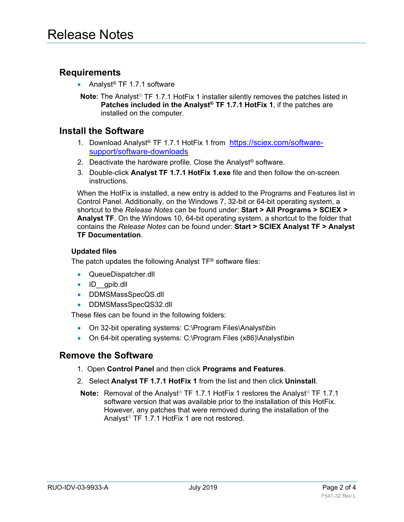### **Requirements**

- Analyst<sup>®</sup> TF 1.7.1 software
- **Note**: The Analyst*®* TF 1.7.1 HotFix 1 installer silently removes the patches listed in **Patches included in the Analyst® TF 1.7.1 HotFix 1**, if the patches are installed on the computer.

#### **Install the Software**

- 1. Download Analyst® TF 1.7.1 HotFix 1 from [https://sciex.com/software](https://sciex.com/software-support/software-downloads)[support/software-downloads](https://sciex.com/software-support/software-downloads)
- 2. Deactivate the hardware profile. Close the Analyst® software.
- 3. Double-click **Analyst TF 1.7.1 HotFix 1.exe** file and then follow the on-screen instructions.

When the HotFix is installed, a new entry is added to the Programs and Features list in Control Panel. Additionally, on the Windows 7, 32-bit or 64-bit operating system, a shortcut to the *Release Notes* can be found under: **Start > All Programs > SCIEX > Analyst TF**. On the Windows 10, 64-bit operating system, a shortcut to the folder that contains the *Release Notes* can be found under: **Start > SCIEX Analyst TF > Analyst TF Documentation**.

#### **Updated files**

The patch updates the following Analyst TF® software files:

- QueueDispatcher.dll
- ID gpib.dll
- DDMSMassSpecQS.dll
- DDMSMassSpecQS32.dll

These files can be found in the following folders:

- On 32-bit operating systems: C:\Program Files\Analyst\bin
- On 64-bit operating systems: C:\Program Files (x86)\Analyst\bin

#### **Remove the Software**

- 1. Open **Control Panel** and then click **Programs and Features**.
- 2. Select **Analyst TF 1.7.1 HotFix 1** from the list and then click **Uninstall**.
- **Note:** Removal of the Analyst*®* TF 1.7.1 HotFix 1 restores the Analyst*®* TF 1.7.1 software version that was available prior to the installation of this HotFix. However, any patches that were removed during the installation of the Analyst*®* TF 1.7.1 HotFix 1 are not restored.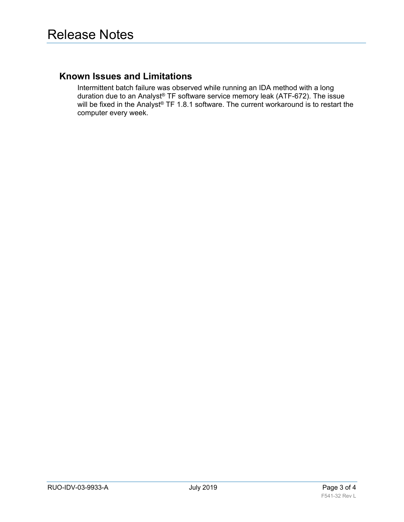#### **Known Issues and Limitations**

Intermittent batch failure was observed while running an IDA method with a long duration due to an Analyst® TF software service memory leak (ATF-672). The issue will be fixed in the Analyst® TF 1.8.1 software. The current workaround is to restart the computer every week.